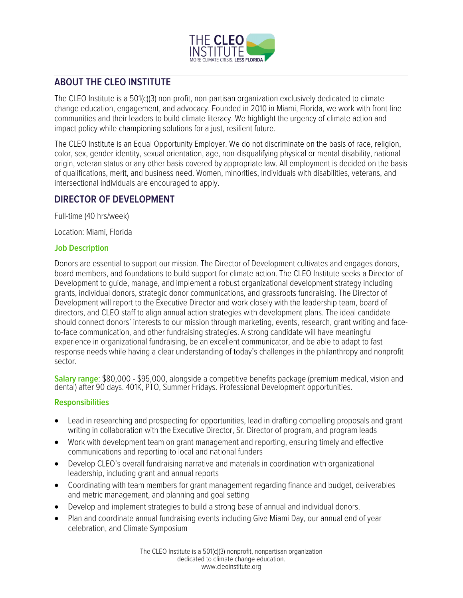

# **ABOUT THE CLEO INSTITUTE**

The CLEO Institute is a 501(c)(3) non-profit, non-partisan organization exclusively dedicated to climate change education, engagement, and advocacy. Founded in 2010 in Miami, Florida, we work with front-line communities and their leaders to build climate literacy. We highlight the urgency of climate action and impact policy while championing solutions for a just, resilient future.

The CLEO Institute is an Equal Opportunity Employer. We do not discriminate on the basis of race, religion, color, sex, gender identity, sexual orientation, age, non-disqualifying physical or mental disability, national origin, veteran status or any other basis covered by appropriate law. All employment is decided on the basis of qualifications, merit, and business need. Women, minorities, individuals with disabilities, veterans, and intersectional individuals are encouraged to apply.

# **DIRECTOR OF DEVELOPMENT**

Full-time (40 hrs/week)

Location: Miami, Florida

#### **Job Description**

Donors are essential to support our mission. The Director of Development cultivates and engages donors, board members, and foundations to build support for climate action. The CLEO Institute seeks a Director of Development to guide, manage, and implement a robust organizational development strategy including grants, individual donors, strategic donor communications, and grassroots fundraising. The Director of Development will report to the Executive Director and work closely with the leadership team, board of directors, and CLEO staff to align annual action strategies with development plans. The ideal candidate should connect donors' interests to our mission through marketing, events, research, grant writing and faceto-face communication, and other fundraising strategies. A strong candidate will have meaningful experience in organizational fundraising, be an excellent communicator, and be able to adapt to fast response needs while having a clear understanding of today's challenges in the philanthropy and nonprofit sector.

**Salary range**: \$80,000 - \$95,000, alongside a competitive benefits package (premium medical, vision and dental) after 90 days. 401K, PTO, Summer Fridays. Professional Development opportunities.

#### **Responsibilities**

- Lead in researching and prospecting for opportunities, lead in drafting compelling proposals and grant writing in collaboration with the Executive Director, Sr. Director of program, and program leads
- Work with development team on grant management and reporting, ensuring timely and effective communications and reporting to local and national funders
- Develop CLEO's overall fundraising narrative and materials in coordination with organizational leadership, including grant and annual reports
- Coordinating with team members for grant management regarding finance and budget, deliverables and metric management, and planning and goal setting
- Develop and implement strategies to build a strong base of annual and individual donors.
- Plan and coordinate annual fundraising events including Give Miami Day, our annual end of year celebration, and Climate Symposium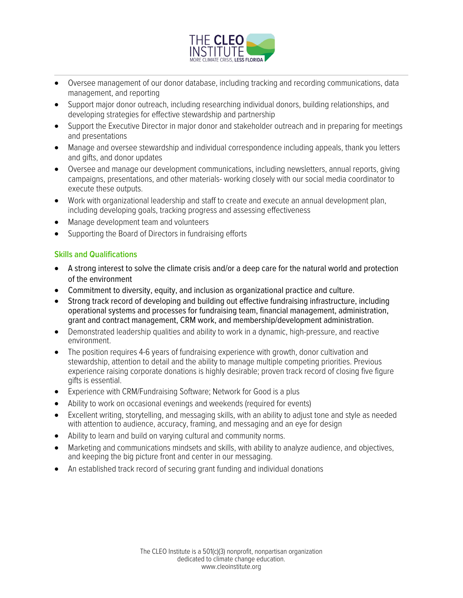

- Oversee management of our donor database, including tracking and recording communications, data management, and reporting
- Support major donor outreach, including researching individual donors, building relationships, and developing strategies for effective stewardship and partnership
- Support the Executive Director in major donor and stakeholder outreach and in preparing for meetings and presentations
- Manage and oversee stewardship and individual correspondence including appeals, thank you letters and gifts, and donor updates
- Oversee and manage our development communications, including newsletters, annual reports, giving campaigns, presentations, and other materials- working closely with our social media coordinator to execute these outputs.
- Work with organizational leadership and staff to create and execute an annual development plan, including developing goals, tracking progress and assessing effectiveness
- Manage development team and volunteers
- Supporting the Board of Directors in fundraising efforts

## **Skills and Qualifications**

- A strong interest to solve the climate crisis and/or a deep care for the natural world and protection of the environment
- Commitment to diversity, equity, and inclusion as organizational practice and culture.
- Strong track record of developing and building out effective fundraising infrastructure, including operational systems and processes for fundraising team, financial management, administration, grant and contract management, CRM work, and membership/development administration.
- Demonstrated leadership qualities and ability to work in a dynamic, high-pressure, and reactive environment.
- The position requires 4-6 years of fundraising experience with growth, donor cultivation and stewardship, attention to detail and the ability to manage multiple competing priorities. Previous experience raising corporate donations is highly desirable; proven track record of closing five figure gifts is essential.
- Experience with CRM/Fundraising Software; Network for Good is a plus
- Ability to work on occasional evenings and weekends (required for events)
- Excellent writing, storytelling, and messaging skills, with an ability to adjust tone and style as needed with attention to audience, accuracy, framing, and messaging and an eye for design
- Ability to learn and build on varying cultural and community norms.
- Marketing and communications mindsets and skills, with ability to analyze audience, and objectives, and keeping the big picture front and center in our messaging.
- An established track record of securing grant funding and individual donations